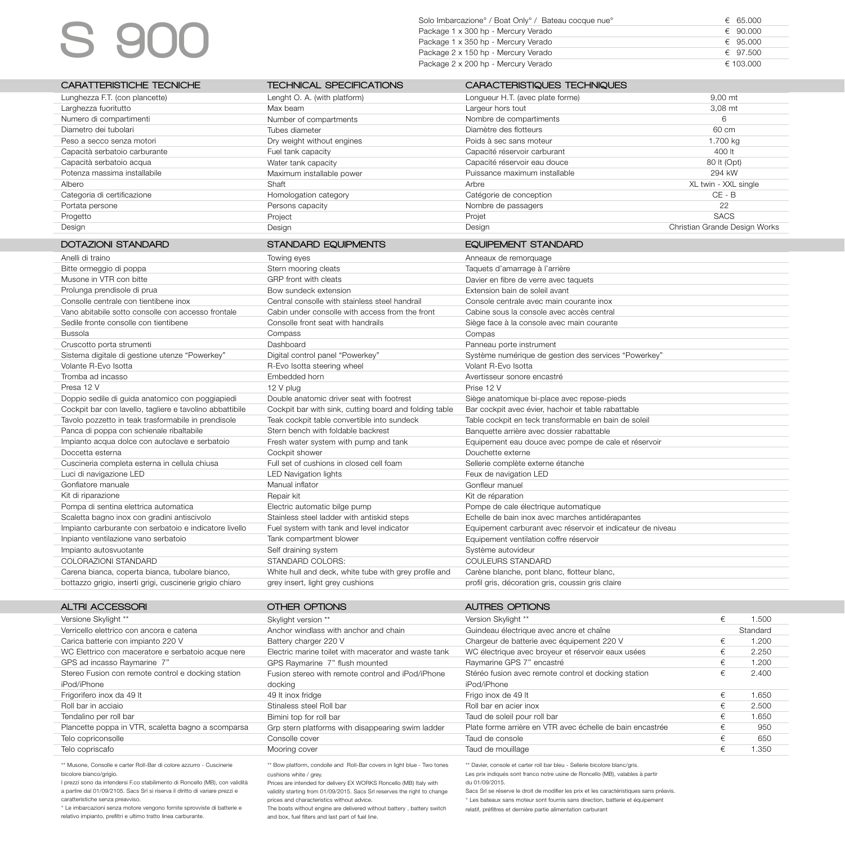## S 900

| Solo Imbarcazione <sup>°</sup> / Boat Only <sup>°</sup> / Bateau cocque nue <sup>°</sup> | € 65.000  |
|------------------------------------------------------------------------------------------|-----------|
| Package 1 x 300 hp - Mercury Verado                                                      | € 90.000  |
| Package 1 x 350 hp - Mercury Verado                                                      | € 95.000  |
| Package 2 x 150 hp - Mercury Verado                                                      | € 97.500  |
| Package 2 x 200 hp - Mercury Verado                                                      | € 103.000 |

| CARATTERISTICHE TECNICHE                                               | <b>TECHNICAL SPECIFICATIONS</b>                          | CARACTERISTIQUES TECHNIQUES                                                 |                               |          |
|------------------------------------------------------------------------|----------------------------------------------------------|-----------------------------------------------------------------------------|-------------------------------|----------|
| Lunghezza F.T. (con plancette)                                         | Lenght O. A. (with platform)                             | Longueur H.T. (avec plate forme)                                            | 9,00 mt                       |          |
| Larghezza fuoritutto                                                   | Max beam                                                 | Largeur hors tout                                                           | 3,08 mt                       |          |
| Numero di compartimenti                                                | Number of compartments                                   | Nombre de compartiments                                                     | 6                             |          |
| Diametro dei tubolari                                                  | Tubes diameter                                           | Diamètre des flotteurs                                                      | 60 cm                         |          |
| Peso a secco senza motori                                              | Dry weight without engines                               | Poids à sec sans moteur                                                     | 1.700 kg                      |          |
| Capacità serbatoio carburante                                          | Fuel tank capacity                                       | Capacité réservoir carburant                                                | 400 lt                        |          |
| Capacità serbatoio acqua                                               | Water tank capacity                                      | Capacité réservoir eau douce                                                | 80 lt (Opt)                   |          |
| Potenza massima installabile                                           | Maximum installable power                                | Puissance maximum installable                                               | 294 kW                        |          |
| Albero                                                                 | Shaft                                                    | Arbre                                                                       | XL twin - XXL single          |          |
| Categoria di certificazione                                            | Homologation category                                    | Catégorie de conception                                                     | $CE - B$                      |          |
| Portata persone                                                        | Persons capacity                                         | Nombre de passagers                                                         | 22                            |          |
| Progetto                                                               | Project                                                  | Projet                                                                      | <b>SACS</b>                   |          |
| Design                                                                 | Design                                                   | Design                                                                      | Christian Grande Design Works |          |
|                                                                        |                                                          |                                                                             |                               |          |
| <b>DOTAZIONI STANDARD</b>                                              | <b>STANDARD EQUIPMENTS</b>                               | <b>EQUIPEMENT STANDARD</b>                                                  |                               |          |
| Anelli di traino                                                       | Towing eyes                                              | Anneaux de remorquage                                                       |                               |          |
| Bitte ormeggio di poppa                                                | Stern mooring cleats                                     | Taquets d'amarrage à l'arrière                                              |                               |          |
| Musone in VTR con bitte                                                | GRP front with cleats                                    | Davier en fibre de verre avec taquets                                       |                               |          |
| Prolunga prendisole di prua                                            | Bow sundeck extension                                    | Extension bain de soleil avant                                              |                               |          |
| Consolle centrale con tientibene inox                                  | Central consolle with stainless steel handrail           | Console centrale avec main courante inox                                    |                               |          |
| Vano abitabile sotto consolle con accesso frontale                     | Cabin under consolle with access from the front          | Cabine sous la console avec accès central                                   |                               |          |
| Sedile fronte consolle con tientibene                                  | Consolle front seat with handrails                       | Siège face à la console avec main courante                                  |                               |          |
| Bussola                                                                | Compass                                                  | Compas                                                                      |                               |          |
| Cruscotto porta strumenti                                              | Dashboard                                                | Panneau porte instrument                                                    |                               |          |
| Sistema digitale di gestione utenze "Powerkey"<br>Volante R-Evo Isotta | Digital control panel "Powerkey"                         | Système numérique de gestion des services "Powerkey"<br>Volant R-Evo Isotta |                               |          |
| Tromba ad incasso                                                      | R-Evo Isotta steering wheel<br>Embedded horn             | Avertisseur sonore encastré                                                 |                               |          |
| Presa 12 V                                                             | 12 V plug                                                | Prise 12 V                                                                  |                               |          |
| Doppio sedile di guida anatomico con poggiapiedi                       | Double anatomic driver seat with footrest                | Siège anatomique bi-place avec repose-pieds                                 |                               |          |
| Cockpit bar con lavello, tagliere e tavolino abbattibile               | Cockpit bar with sink, cutting board and folding table   | Bar cockpit avec évier, hachoir et table rabattable                         |                               |          |
| Tavolo pozzetto in teak trasformabile in prendisole                    | Teak cockpit table convertible into sundeck              | Table cockpit en teck transformable en bain de soleil                       |                               |          |
| Panca di poppa con schienale ribaltabile                               | Stern bench with foldable backrest                       | Banquette arrière avec dossier rabattable                                   |                               |          |
| Impianto acqua dolce con autoclave e serbatoio                         | Fresh water system with pump and tank                    | Equipement eau douce avec pompe de cale et réservoir                        |                               |          |
| Doccetta esterna                                                       | Cockpit shower                                           | Douchette externe                                                           |                               |          |
| Cuscineria completa esterna in cellula chiusa                          | Full set of cushions in closed cell foam                 | Sellerie complète externe étanche                                           |                               |          |
| Luci di navigazione LED                                                | <b>LED Navigation lights</b>                             | Feux de navigation LED                                                      |                               |          |
| Gonfiatore manuale                                                     | Manual inflator                                          | Gonfleur manuel                                                             |                               |          |
| Kit di riparazione                                                     | Repair kit                                               | Kit de réparation                                                           |                               |          |
| Pompa di sentina elettrica automatica                                  | Electric automatic bilge pump                            | Pompe de cale électrique automatique                                        |                               |          |
| Scaletta bagno inox con gradini antiscivolo                            | Stainless steel ladder with antiskid steps               | Echelle de bain inox avec marches antidérapantes                            |                               |          |
| Impianto carburante con serbatoio e indicatore livello                 | Fuel system with tank and level indicator                | Equipement carburant avec réservoir et indicateur de niveau                 |                               |          |
| Inpianto ventilazione vano serbatoio                                   | Tank compartment blower                                  | Equipement ventilation coffre réservoir                                     |                               |          |
| Impianto autosvuotante                                                 | Self draining system                                     | Système autovideur                                                          |                               |          |
| COLORAZIONI STANDARD                                                   | STANDARD COLORS:                                         | COULEURS STANDARD                                                           |                               |          |
| Carena bianca, coperta bianca, tubolare bianco,                        | White hull and deck, white tube with grey profile and    | Carène blanche, pont blanc, flotteur blanc,                                 |                               |          |
| bottazzo grigio, inserti grigi, cuscinerie grigio chiaro               | grey insert, light grey cushions                         | profil gris, décoration gris, coussin gris claire                           |                               |          |
|                                                                        |                                                          |                                                                             |                               |          |
| <b>ALTRI ACCESSORI</b>                                                 | OTHER OPTIONS                                            | <b>AUTRES OPTIONS</b>                                                       |                               |          |
| Versione Skylight **                                                   | Skylight version **                                      | Version Skylight **                                                         | €                             | 1.500    |
| Verricello elettrico con ancora e catena                               | Anchor windlass with anchor and chain                    | Guindeau électrique avec ancre et chaîne                                    |                               | Standard |
| Carica batterie con impianto 220 V                                     | Battery charger 220 V                                    | Chargeur de batterie avec équipement 220 V                                  | €                             | 1.200    |
| WC Elettrico con maceratore e serbatoio acque nere                     | Electric marine toilet with macerator and waste tank     | WC électrique avec broyeur et réservoir eaux usées                          | $\in$                         | 2.250    |
| GPS ad incasso Raymarine 7"                                            | GPS Raymarine 7" flush mounted                           | Raymarine GPS 7" encastré                                                   | $\epsilon$                    | 1.200    |
| Stereo Fusion con remote control e docking station                     | Fusion stereo with remote control and iPod/iPhone        | Stéréo fusion avec remote control et docking station                        | €                             | 2.400    |
| iPod/iPhone                                                            | docking                                                  | iPod/iPhone                                                                 |                               |          |
| Frigorifero inox da 49 lt                                              | 49 It inox fridge                                        | Frigo inox de 49 lt                                                         | $\epsilon$                    | 1.650    |
| Roll bar in acciaio                                                    | Stinaless steel Roll bar                                 | Roll bar en acier inox                                                      | €                             | 2.500    |
| Tendalino per roll bar                                                 | Bimini top for roll bar                                  | Taud de soleil pour roll bar                                                | $\in$                         | 1.650    |
| Plancette poppa in VTR, scaletta bagno a scomparsa                     | Grp stern platforms with disappearing swim ladder        | Plate forme arrière en VTR avec échelle de bain encastrée                   | €                             | 950      |
| Telo copriconsolle                                                     | Consolle cover                                           | Taud de console                                                             | €                             | 650      |
| Telo copriscafo                                                        | Mooring cover                                            | Taud de mouillage                                                           | $\in$                         | 1.350    |
| And Diett Dieself and any                                              | ally seed. Their Theo accounts to these latest office as | the secretary of the final state                                            |                               |          |

ter Roll-Bar di colore azzurro - Cusci bicolore bianco/grigio.

I prezzi sono da intendersi F.co stabilimento di Roncello (MB), con validità a partire dal 01/09/2105. Sacs Srl si riserva il diritto di variare prezzi e caratteristiche senza preavviso.

° Le imbarcazioni senza motore vengono fornite sprovviste di batterie e relativo impianto, prefiltri e ultimo tratto linea carburante.

\* Bow platform, condolle and Roll-Bar covers in light blue - Two tones cushions white / grey.

Prices are intended for delivery EX WORKS Roncello (MB) Italy with validity starting from 01/09/2015. Sacs Srl reserves the right to change prices and characteristics without advice.

The boats without engine are delivered without battery , battery switch and box, fuel filters and last part of fuel line.

\*\* Davier, console et carter roll bar bleu - Sellerie bicolore blanc/gris. Les prix indiqués sont franco notre usine de Roncello (MB), valables à partir

du 01/09/2015.

Sacs Srl se réserve le droit de modifier les prix et les caractéristiques sans préavis.

° Les bateaux sans moteur sont fournis sans direction, batterie et équipement

relatif, préfiltres et dernière partie alimentation carburant